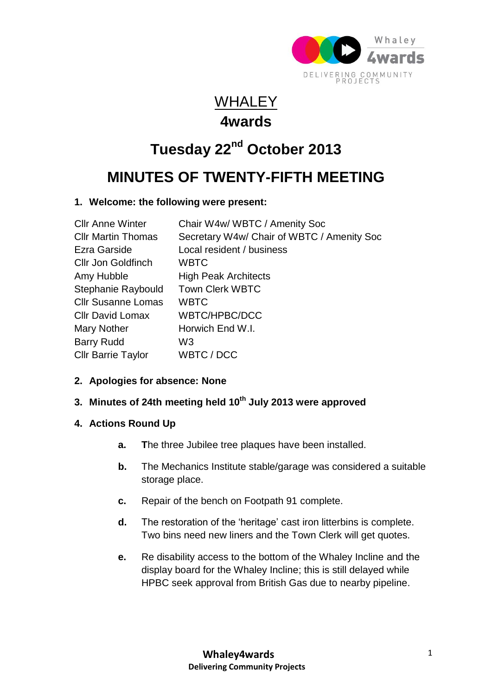

### WHALEY **4wards**

# **Tuesday 22nd October 2013**

## **MINUTES OF TWENTY-FIFTH MEETING**

#### **1. Welcome: the following were present:**

| <b>Cllr Anne Winter</b>   | Chair W4w/ WBTC / Amenity Soc              |
|---------------------------|--------------------------------------------|
| <b>CIIr Martin Thomas</b> | Secretary W4w/ Chair of WBTC / Amenity Soc |
| Ezra Garside              | Local resident / business                  |
| <b>Cllr Jon Goldfinch</b> | <b>WBTC</b>                                |
| Amy Hubble                | <b>High Peak Architects</b>                |
| Stephanie Raybould        | <b>Town Clerk WBTC</b>                     |
| <b>Cllr Susanne Lomas</b> | <b>WBTC</b>                                |
| <b>CIIr David Lomax</b>   | <b>WBTC/HPBC/DCC</b>                       |
| Mary Nother               | Horwich End W.I.                           |
| <b>Barry Rudd</b>         | W3                                         |
| <b>Cllr Barrie Taylor</b> | WBTC / DCC                                 |

#### **2. Apologies for absence: None**

#### **3. Minutes of 24th meeting held 10th July 2013 were approved**

#### **4. Actions Round Up**

- **a. T**he three Jubilee tree plaques have been installed.
- **b.** The Mechanics Institute stable/garage was considered a suitable storage place.
- **c.** Repair of the bench on Footpath 91 complete.
- **d.** The restoration of the 'heritage' cast iron litterbins is complete. Two bins need new liners and the Town Clerk will get quotes.
- **e.** Re disability access to the bottom of the Whaley Incline and the display board for the Whaley Incline; this is still delayed while HPBC seek approval from British Gas due to nearby pipeline.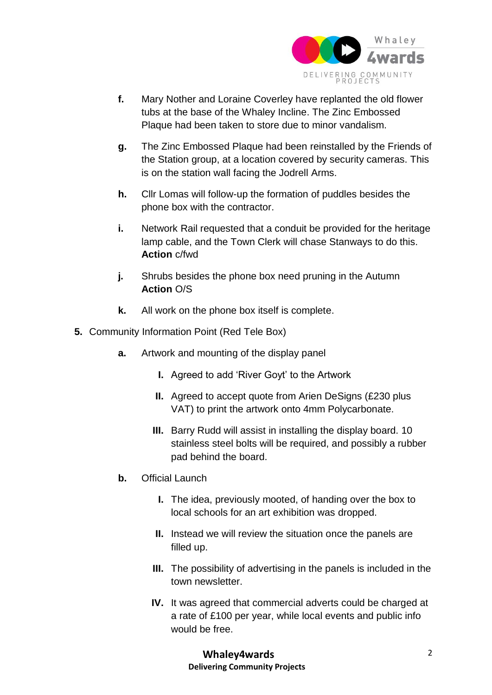

- **f.** Mary Nother and Loraine Coverley have replanted the old flower tubs at the base of the Whaley Incline. The Zinc Embossed Plaque had been taken to store due to minor vandalism.
- **g.** The Zinc Embossed Plaque had been reinstalled by the Friends of the Station group, at a location covered by security cameras. This is on the station wall facing the Jodrell Arms.
- **h.** Cllr Lomas will follow-up the formation of puddles besides the phone box with the contractor.
- **i.** Network Rail requested that a conduit be provided for the heritage lamp cable, and the Town Clerk will chase Stanways to do this. **Action** c/fwd
- **j.** Shrubs besides the phone box need pruning in the Autumn **Action** O/S
- **k.** All work on the phone box itself is complete.
- **5.** Community Information Point (Red Tele Box)
	- **a.** Artwork and mounting of the display panel
		- **I.** Agreed to add 'River Goyt' to the Artwork
		- **II.** Agreed to accept quote from Arien DeSigns (£230 plus VAT) to print the artwork onto 4mm Polycarbonate.
		- **III.** Barry Rudd will assist in installing the display board. 10 stainless steel bolts will be required, and possibly a rubber pad behind the board.
	- **b.** Official Launch
		- **I.** The idea, previously mooted, of handing over the box to local schools for an art exhibition was dropped.
		- **II.** Instead we will review the situation once the panels are filled up.
		- **III.** The possibility of advertising in the panels is included in the town newsletter.
		- **IV.** It was agreed that commercial adverts could be charged at a rate of £100 per year, while local events and public info would be free.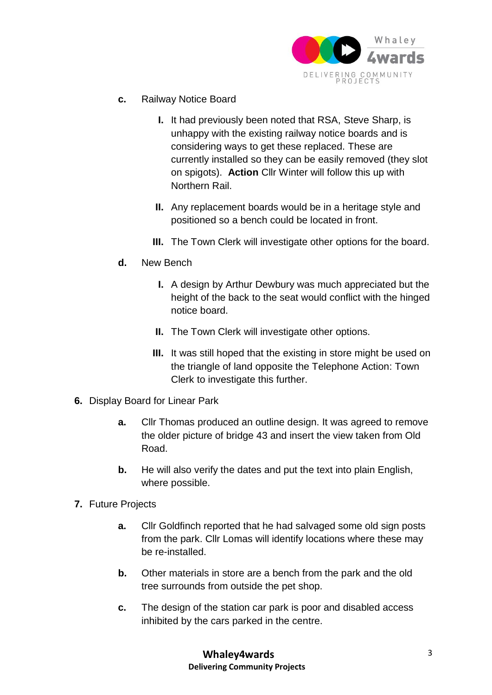

- **c.** Railway Notice Board
	- **I.** It had previously been noted that RSA, Steve Sharp, is unhappy with the existing railway notice boards and is considering ways to get these replaced. These are currently installed so they can be easily removed (they slot on spigots). **Action** Cllr Winter will follow this up with Northern Rail.
	- **II.** Any replacement boards would be in a heritage style and positioned so a bench could be located in front.
	- **III.** The Town Clerk will investigate other options for the board.
- **d.** New Bench
	- **I.** A design by Arthur Dewbury was much appreciated but the height of the back to the seat would conflict with the hinged notice board.
	- **II.** The Town Clerk will investigate other options.
	- **III.** It was still hoped that the existing in store might be used on the triangle of land opposite the Telephone Action: Town Clerk to investigate this further.
- **6.** Display Board for Linear Park
	- **a.** Cllr Thomas produced an outline design. It was agreed to remove the older picture of bridge 43 and insert the view taken from Old Road.
	- **b.** He will also verify the dates and put the text into plain English, where possible.
- **7.** Future Projects
	- **a.** Cllr Goldfinch reported that he had salvaged some old sign posts from the park. Cllr Lomas will identify locations where these may be re-installed.
	- **b.** Other materials in store are a bench from the park and the old tree surrounds from outside the pet shop.
	- **c.** The design of the station car park is poor and disabled access inhibited by the cars parked in the centre.